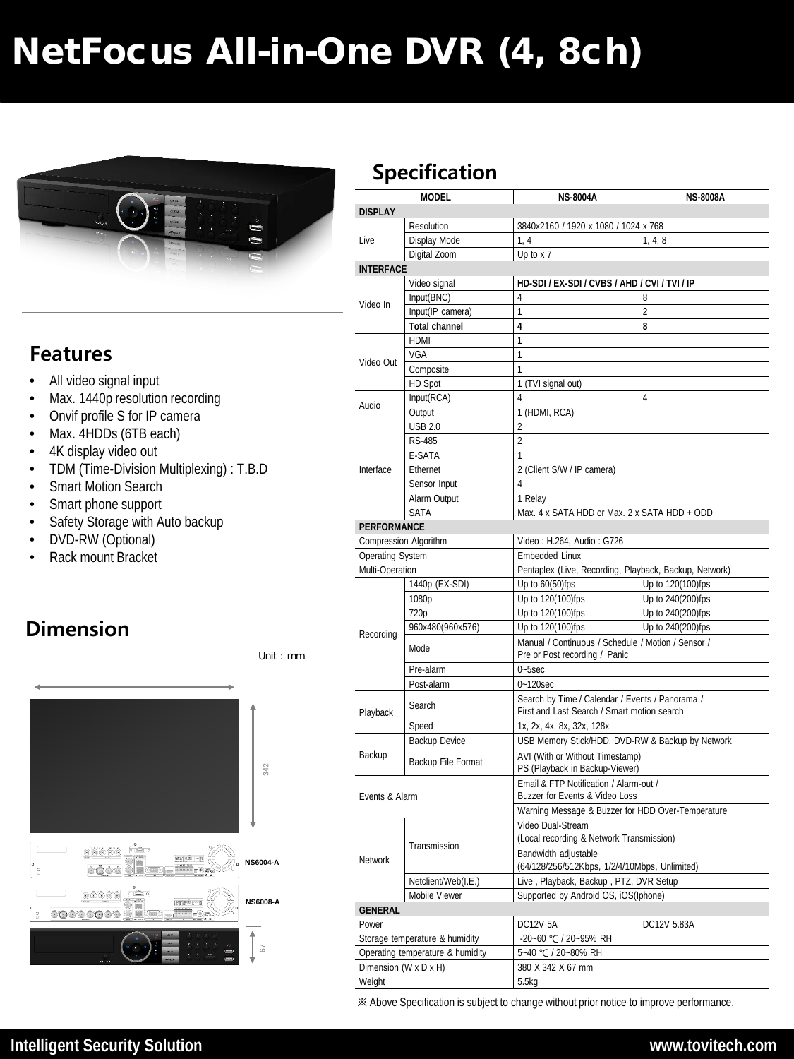# NetFocus All-in-One DVR (4, 8ch)



### **Features**

- All video signal input
- Max. 1440p resolution recording
- Onvif profile S for IP camera
- Max. 4HDDs (6TB each)
- 4K display video out
- TDM (Time-Division Multiplexing) : T.B.D
- Smart Motion Search
- Smart phone support
- Safety Storage with Auto backup
- DVD-RW (Optional)
- Rack mount Bracket

## **Dimension**



#### **MODEL NS-8004A NS-8008A DISPLAY** Live Resolution 3840x2160 / 1920 x 1080 / 1024 x 768 Display Mode  $\begin{array}{|c|c|c|c|c|} \hline 1, 4 & 1, 4, 8 \hline \end{array}$ Digital Zoom Up to x 7 **INTERFACE** Video In Video signal **HD-SDI / EX-SDI / CVBS / AHD / CVI / TVI / IP**   $Input(BNC)$   $4$  8 Input(IP camera) 1 **Total channel 4 8** Video Out  $HDMI$  1  $VGA$  1 Composite HD Spot 1 (TVI signal out) Audio  $\frac{$  Input(RCA)  $\frac{4}{ }$  4 Output 1 (HDMI, RCA) Interface  $\begin{array}{ccc} \text{USB } 2.0 & & \end{array}$  2 RS-485 2 E-SATA Ethernet 2 (Client S/W / IP camera) Sensor Input 4 Alarm Output 1 Relay SATA Max. 4 x SATA HDD or Max. 2 x SATA HDD + ODD **PERFORMANCE** Compression Algorithm <br>Video : H.264, Audio : G726 Operating System **Embedded Linux** Multi-Operation | Pentaplex (Live, Recording, Playback, Backup, Network) Recording 1440p (EX-SDI) Up to 60(50)fps Up to 120(100)fps 1080p Up to 120(100)fps Up to 240(200)fps 720p Up to 120(100)fps Up to 240(200)fps 960x480(960x576) Up to 120(100)fps Up to 240(200)fps Mode Manual / Continuous / Schedule / Motion / Sensor / Pre or Post recording / Panic Pre-alarm | 0~5sec Post-alarm 0~120sec | Search by Time / Calendar / Events / Panorama /<br>| First and Last Search / Smart motion search<br>| First and Last Search / Smart motion search Speed 1x, 2x, 4x, 8x, 32x, 128x Backup Backup Device | USB Memory Stick/HDD, DVD-RW & Backup by Network Backup File Format AVI (With or Without Timestamp) PS (Playback in Backup-Viewer) Events & Alarm Email & FTP Notification / Alarm-out / Buzzer for Events & Video Loss Warning Message & Buzzer for HDD Over-Temperature Network Transmission Video Dual-Stream (Local recording & Network Transmission) Bandwidth adjustable (64/128/256/512Kbps, 1/2/4/10Mbps, Unlimited) Netclient/Web(I.E.) Live , Playback, Backup , PTZ, DVR Setup Mobile Viewer Supported by Android OS, iOS(Iphone) **GENERAL** Power DC12V 5A DC12V 5.83A Storage temperature & humidity -20~60 ℃ / 20~95% RH Operating temperature & humidity 5~40 ℃ / 20~80% RH Dimension (W x D x H) 380 X 342 X 67 mm **Specification**

※ Above Specification is subject to change without prior notice to improve performance.

Weight 5.5kg